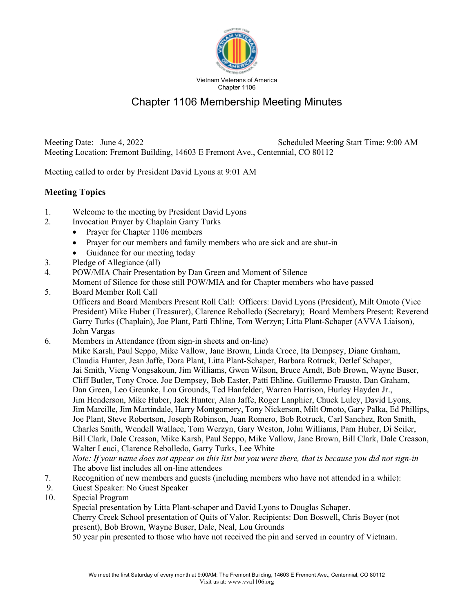

## Chapter 1106 Membership Meeting Minutes

Meeting Date: June 4, 2022 Scheduled Meeting Start Time: 9:00 AM Meeting Location: Fremont Building, 14603 E Fremont Ave., Centennial, CO 80112

Meeting called to order by President David Lyons at 9:01 AM

## **Meeting Topics**

- 1. Welcome to the meeting by President David Lyons
- 2. Invocation Prayer by Chaplain Garry Turks
	- Prayer for Chapter 1106 members
	- Prayer for our members and family members who are sick and are shut-in
	- Guidance for our meeting today
- 3. Pledge of Allegiance (all)
- 4. POW/MIA Chair Presentation by Dan Green and Moment of Silence

Moment of Silence for those still POW/MIA and for Chapter members who have passed

- 5. Board Member Roll Call Officers and Board Members Present Roll Call: Officers: David Lyons (President), Milt Omoto (Vice President) Mike Huber (Treasurer), Clarence Rebolledo (Secretary); Board Members Present: Reverend Garry Turks (Chaplain), Joe Plant, Patti Ehline, Tom Werzyn; Litta Plant-Schaper (AVVA Liaison), John Vargas
- 6. Members in Attendance (from sign-in sheets and on-line) Mike Karsh, Paul Seppo, Mike Vallow, Jane Brown, Linda Croce, Ita Dempsey, Diane Graham, Claudia Hunter, Jean Jaffe, Dora Plant, Litta Plant-Schaper, Barbara Rotruck, Detlef Schaper, Jai Smith, Vieng Vongsakoun, Jim Williams, Gwen Wilson, Bruce Arndt, Bob Brown, Wayne Buser, Cliff Butler, Tony Croce, Joe Dempsey, Bob Easter, Patti Ehline, Guillermo Frausto, Dan Graham, Dan Green, Leo Greunke, Lou Grounds, Ted Hanfelder, Warren Harrison, Hurley Hayden Jr., Jim Henderson, Mike Huber, Jack Hunter, Alan Jaffe, Roger Lanphier, Chuck Luley, David Lyons, Jim Marcille, Jim Martindale, Harry Montgomery, Tony Nickerson, Milt Omoto, Gary Palka, Ed Phillips, Joe Plant, Steve Robertson, Joseph Robinson, Juan Romero, Bob Rotruck, Carl Sanchez, Ron Smith, Charles Smith, Wendell Wallace, Tom Werzyn, Gary Weston, John Williams, Pam Huber, Di Seiler, Bill Clark, Dale Creason, Mike Karsh, Paul Seppo, Mike Vallow, Jane Brown, Bill Clark, Dale Creason, Walter Leuci, Clarence Rebolledo, Garry Turks, Lee White

*Note: If your name does not appear on this list but you were there, that is because you did not sign-in*  The above list includes all on-line attendees

- 7. Recognition of new members and guests (including members who have not attended in a while):
- 9. Guest Speaker: No Guest Speaker
- 10. Special Program

Special presentation by Litta Plant-schaper and David Lyons to Douglas Schaper.

 Cherry Creek School presentation of Quits of Valor. Recipients: Don Boswell, Chris Boyer (not present), Bob Brown, Wayne Buser, Dale, Neal, Lou Grounds

50 year pin presented to those who have not received the pin and served in country of Vietnam.